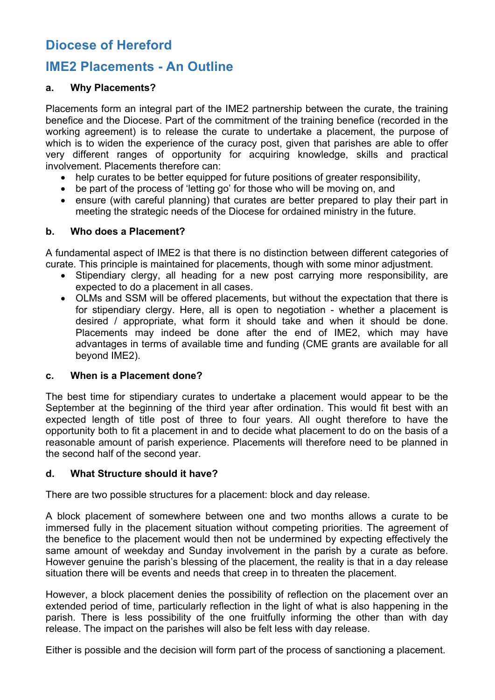# **Diocese of Hereford**

## **IME2 Placements - An Outline**

## **a. Why Placements?**

Placements form an integral part of the IME2 partnership between the curate, the training benefice and the Diocese. Part of the commitment of the training benefice (recorded in the working agreement) is to release the curate to undertake a placement, the purpose of which is to widen the experience of the curacy post, given that parishes are able to offer very different ranges of opportunity for acquiring knowledge, skills and practical involvement. Placements therefore can:

- help curates to be better equipped for future positions of greater responsibility,
- be part of the process of 'letting go' for those who will be moving on, and
- ensure (with careful planning) that curates are better prepared to play their part in meeting the strategic needs of the Diocese for ordained ministry in the future.

### **b. Who does a Placement?**

A fundamental aspect of IME2 is that there is no distinction between different categories of curate. This principle is maintained for placements, though with some minor adjustment.

- Stipendiary clergy, all heading for a new post carrying more responsibility, are expected to do a placement in all cases.
- OLMs and SSM will be offered placements, but without the expectation that there is for stipendiary clergy. Here, all is open to negotiation - whether a placement is desired / appropriate, what form it should take and when it should be done. Placements may indeed be done after the end of IME2, which may have advantages in terms of available time and funding (CME grants are available for all beyond IME2).

### **c. When is a Placement done?**

The best time for stipendiary curates to undertake a placement would appear to be the September at the beginning of the third year after ordination. This would fit best with an expected length of title post of three to four years. All ought therefore to have the opportunity both to fit a placement in and to decide what placement to do on the basis of a reasonable amount of parish experience. Placements will therefore need to be planned in the second half of the second year.

## **d. What Structure should it have?**

There are two possible structures for a placement: block and day release.

A block placement of somewhere between one and two months allows a curate to be immersed fully in the placement situation without competing priorities. The agreement of the benefice to the placement would then not be undermined by expecting effectively the same amount of weekday and Sunday involvement in the parish by a curate as before. However genuine the parish's blessing of the placement, the reality is that in a day release situation there will be events and needs that creep in to threaten the placement.

However, a block placement denies the possibility of reflection on the placement over an extended period of time, particularly reflection in the light of what is also happening in the parish. There is less possibility of the one fruitfully informing the other than with day release. The impact on the parishes will also be felt less with day release.

Either is possible and the decision will form part of the process of sanctioning a placement.